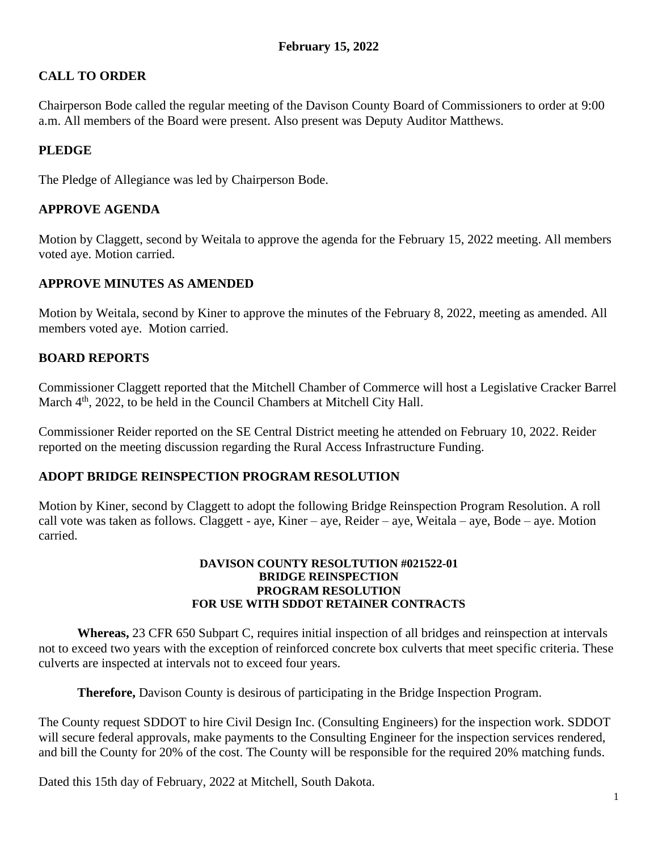# **CALL TO ORDER**

Chairperson Bode called the regular meeting of the Davison County Board of Commissioners to order at 9:00 a.m. All members of the Board were present. Also present was Deputy Auditor Matthews.

# **PLEDGE**

The Pledge of Allegiance was led by Chairperson Bode.

### **APPROVE AGENDA**

Motion by Claggett, second by Weitala to approve the agenda for the February 15, 2022 meeting. All members voted aye. Motion carried.

## **APPROVE MINUTES AS AMENDED**

Motion by Weitala, second by Kiner to approve the minutes of the February 8, 2022, meeting as amended. All members voted aye. Motion carried.

## **BOARD REPORTS**

Commissioner Claggett reported that the Mitchell Chamber of Commerce will host a Legislative Cracker Barrel March 4<sup>th</sup>, 2022, to be held in the Council Chambers at Mitchell City Hall.

Commissioner Reider reported on the SE Central District meeting he attended on February 10, 2022. Reider reported on the meeting discussion regarding the Rural Access Infrastructure Funding.

### **ADOPT BRIDGE REINSPECTION PROGRAM RESOLUTION**

Motion by Kiner, second by Claggett to adopt the following Bridge Reinspection Program Resolution. A roll call vote was taken as follows. Claggett - aye, Kiner – aye, Reider – aye, Weitala – aye, Bode – aye. Motion carried.

#### **DAVISON COUNTY RESOLTUTION #021522-01 BRIDGE REINSPECTION PROGRAM RESOLUTION FOR USE WITH SDDOT RETAINER CONTRACTS**

**Whereas,** 23 CFR 650 Subpart C, requires initial inspection of all bridges and reinspection at intervals not to exceed two years with the exception of reinforced concrete box culverts that meet specific criteria. These culverts are inspected at intervals not to exceed four years.

**Therefore,** Davison County is desirous of participating in the Bridge Inspection Program.

The County request SDDOT to hire Civil Design Inc. (Consulting Engineers) for the inspection work. SDDOT will secure federal approvals, make payments to the Consulting Engineer for the inspection services rendered, and bill the County for 20% of the cost. The County will be responsible for the required 20% matching funds.

Dated this 15th day of February, 2022 at Mitchell, South Dakota.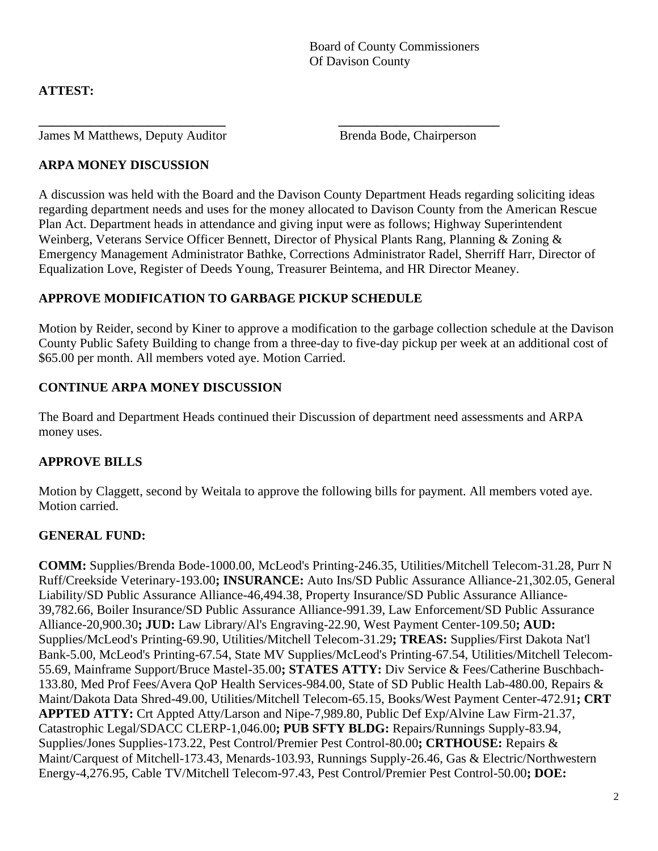# **ATTEST:**

James M Matthews, Deputy Auditor Brenda Bode, Chairperson

# **ARPA MONEY DISCUSSION**

A discussion was held with the Board and the Davison County Department Heads regarding soliciting ideas regarding department needs and uses for the money allocated to Davison County from the American Rescue Plan Act. Department heads in attendance and giving input were as follows; Highway Superintendent Weinberg, Veterans Service Officer Bennett, Director of Physical Plants Rang, Planning & Zoning & Emergency Management Administrator Bathke, Corrections Administrator Radel, Sherriff Harr, Director of Equalization Love, Register of Deeds Young, Treasurer Beintema, and HR Director Meaney.

**\_\_\_\_\_\_\_\_\_\_\_\_\_\_\_\_\_\_\_\_\_\_\_\_\_\_\_\_\_ \_\_\_\_\_\_\_\_\_\_\_\_\_\_\_\_\_\_\_\_\_\_\_\_\_**

# **APPROVE MODIFICATION TO GARBAGE PICKUP SCHEDULE**

Motion by Reider, second by Kiner to approve a modification to the garbage collection schedule at the Davison County Public Safety Building to change from a three-day to five-day pickup per week at an additional cost of \$65.00 per month. All members voted aye. Motion Carried.

# **CONTINUE ARPA MONEY DISCUSSION**

The Board and Department Heads continued their Discussion of department need assessments and ARPA money uses.

# **APPROVE BILLS**

Motion by Claggett, second by Weitala to approve the following bills for payment. All members voted aye. Motion carried.

# **GENERAL FUND:**

**COMM:** Supplies/Brenda Bode-1000.00, McLeod's Printing-246.35, Utilities/Mitchell Telecom-31.28, Purr N Ruff/Creekside Veterinary-193.00**; INSURANCE:** Auto Ins/SD Public Assurance Alliance-21,302.05, General Liability/SD Public Assurance Alliance-46,494.38, Property Insurance/SD Public Assurance Alliance-39,782.66, Boiler Insurance/SD Public Assurance Alliance-991.39, Law Enforcement/SD Public Assurance Alliance-20,900.30**; JUD:** Law Library/Al's Engraving-22.90, West Payment Center-109.50**; AUD:** Supplies/McLeod's Printing-69.90, Utilities/Mitchell Telecom-31.29**; TREAS:** Supplies/First Dakota Nat'l Bank-5.00, McLeod's Printing-67.54, State MV Supplies/McLeod's Printing-67.54, Utilities/Mitchell Telecom-55.69, Mainframe Support/Bruce Mastel-35.00**; STATES ATTY:** Div Service & Fees/Catherine Buschbach-133.80, Med Prof Fees/Avera QoP Health Services-984.00, State of SD Public Health Lab-480.00, Repairs & Maint/Dakota Data Shred-49.00, Utilities/Mitchell Telecom-65.15, Books/West Payment Center-472.91**; CRT APPTED ATTY:** Crt Appted Atty/Larson and Nipe-7,989.80, Public Def Exp/Alvine Law Firm-21.37, Catastrophic Legal/SDACC CLERP-1,046.00**; PUB SFTY BLDG:** Repairs/Runnings Supply-83.94, Supplies/Jones Supplies-173.22, Pest Control/Premier Pest Control-80.00**; CRTHOUSE:** Repairs & Maint/Carquest of Mitchell-173.43, Menards-103.93, Runnings Supply-26.46, Gas & Electric/Northwestern Energy-4,276.95, Cable TV/Mitchell Telecom-97.43, Pest Control/Premier Pest Control-50.00**; DOE:**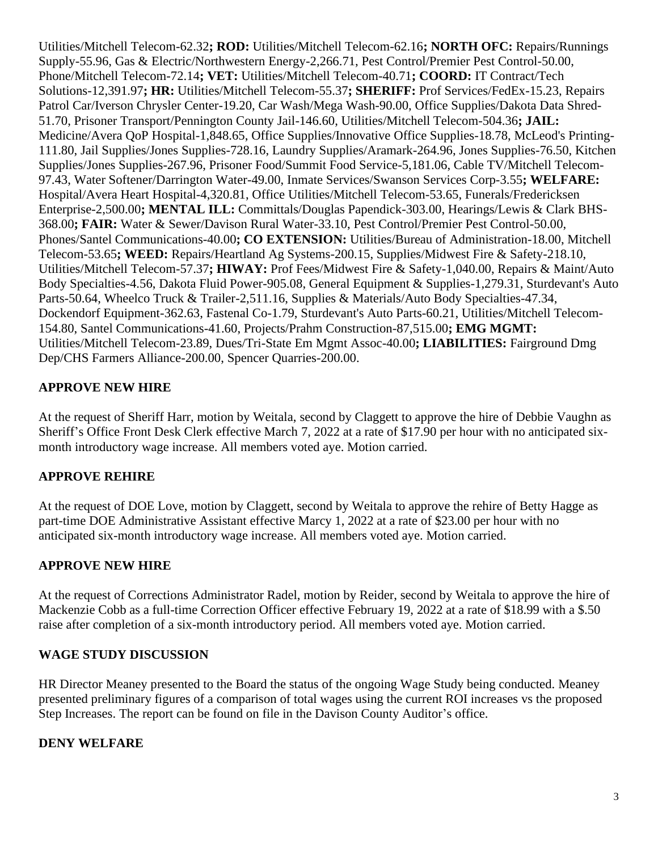Utilities/Mitchell Telecom-62.32**; ROD:** Utilities/Mitchell Telecom-62.16**; NORTH OFC:** Repairs/Runnings Supply-55.96, Gas & Electric/Northwestern Energy-2,266.71, Pest Control/Premier Pest Control-50.00, Phone/Mitchell Telecom-72.14**; VET:** Utilities/Mitchell Telecom-40.71**; COORD:** IT Contract/Tech Solutions-12,391.97**; HR:** Utilities/Mitchell Telecom-55.37**; SHERIFF:** Prof Services/FedEx-15.23, Repairs Patrol Car/Iverson Chrysler Center-19.20, Car Wash/Mega Wash-90.00, Office Supplies/Dakota Data Shred-51.70, Prisoner Transport/Pennington County Jail-146.60, Utilities/Mitchell Telecom-504.36**; JAIL:** Medicine/Avera QoP Hospital-1,848.65, Office Supplies/Innovative Office Supplies-18.78, McLeod's Printing-111.80, Jail Supplies/Jones Supplies-728.16, Laundry Supplies/Aramark-264.96, Jones Supplies-76.50, Kitchen Supplies/Jones Supplies-267.96, Prisoner Food/Summit Food Service-5,181.06, Cable TV/Mitchell Telecom-97.43, Water Softener/Darrington Water-49.00, Inmate Services/Swanson Services Corp-3.55**; WELFARE:** Hospital/Avera Heart Hospital-4,320.81, Office Utilities/Mitchell Telecom-53.65, Funerals/Fredericksen Enterprise-2,500.00**; MENTAL ILL:** Committals/Douglas Papendick-303.00, Hearings/Lewis & Clark BHS-368.00**; FAIR:** Water & Sewer/Davison Rural Water-33.10, Pest Control/Premier Pest Control-50.00, Phones/Santel Communications-40.00**; CO EXTENSION:** Utilities/Bureau of Administration-18.00, Mitchell Telecom-53.65**; WEED:** Repairs/Heartland Ag Systems-200.15, Supplies/Midwest Fire & Safety-218.10, Utilities/Mitchell Telecom-57.37**; HIWAY:** Prof Fees/Midwest Fire & Safety-1,040.00, Repairs & Maint/Auto Body Specialties-4.56, Dakota Fluid Power-905.08, General Equipment & Supplies-1,279.31, Sturdevant's Auto Parts-50.64, Wheelco Truck & Trailer-2,511.16, Supplies & Materials/Auto Body Specialties-47.34, Dockendorf Equipment-362.63, Fastenal Co-1.79, Sturdevant's Auto Parts-60.21, Utilities/Mitchell Telecom-154.80, Santel Communications-41.60, Projects/Prahm Construction-87,515.00**; EMG MGMT:** Utilities/Mitchell Telecom-23.89, Dues/Tri-State Em Mgmt Assoc-40.00**; LIABILITIES:** Fairground Dmg Dep/CHS Farmers Alliance-200.00, Spencer Quarries-200.00.

## **APPROVE NEW HIRE**

At the request of Sheriff Harr, motion by Weitala, second by Claggett to approve the hire of Debbie Vaughn as Sheriff's Office Front Desk Clerk effective March 7, 2022 at a rate of \$17.90 per hour with no anticipated sixmonth introductory wage increase. All members voted aye. Motion carried.

### **APPROVE REHIRE**

At the request of DOE Love, motion by Claggett, second by Weitala to approve the rehire of Betty Hagge as part-time DOE Administrative Assistant effective Marcy 1, 2022 at a rate of \$23.00 per hour with no anticipated six-month introductory wage increase. All members voted aye. Motion carried.

### **APPROVE NEW HIRE**

At the request of Corrections Administrator Radel, motion by Reider, second by Weitala to approve the hire of Mackenzie Cobb as a full-time Correction Officer effective February 19, 2022 at a rate of \$18.99 with a \$.50 raise after completion of a six-month introductory period. All members voted aye. Motion carried.

#### **WAGE STUDY DISCUSSION**

HR Director Meaney presented to the Board the status of the ongoing Wage Study being conducted. Meaney presented preliminary figures of a comparison of total wages using the current ROI increases vs the proposed Step Increases. The report can be found on file in the Davison County Auditor's office.

#### **DENY WELFARE**